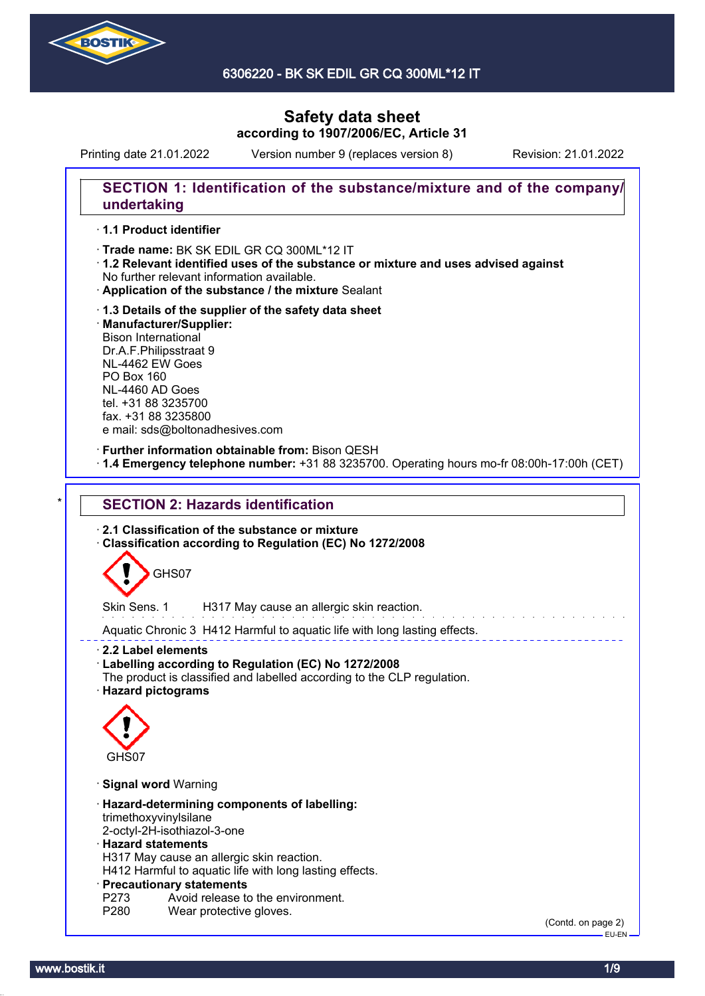

6306220 - BK SK EDIL GR CQ 300ML\*12 IT

# **Safety data sheet according to 1907/2006/EC, Article 31**

Printing date 21.01.2022 Version number 9 (replaces version 8) Revision: 21.01.2022

### **SECTION 1: Identification of the substance/mixture and of the company/ undertaking**

#### · **1.1 Product identifier**

· Trade name: BK SK EDIL GR CQ 300ML\*12 IT

- · **1.2 Relevant identified uses of the substance or mixture and uses advised against** No further relevant information available.
- · **Application of the substance / the mixture** Sealant
- · **1.3 Details of the supplier of the safety data sheet** · **Manufacturer/Supplier:** Bison International Dr.A.F.Philipsstraat 9 NL-4462 EW Goes PO Box 160 NL-4460 AD Goes tel. +31 88 3235700 fax. +31 88 3235800 e mail: sds@boltonadhesives.com

#### · **Further information obtainable from:** Bison QESH

· **1.4 Emergency telephone number:** +31 88 3235700. Operating hours mo-fr 08:00h-17:00h (CET)

## **SECTION 2: Hazards identification**

· **2.1 Classification of the substance or mixture**

· **Classification according to Regulation (EC) No 1272/2008**



Skin Sens. 1 H317 May cause an allergic skin reaction.

Aquatic Chronic 3 H412 Harmful to aquatic life with long lasting effects.

· **2.2 Label elements**

- · **Labelling according to Regulation (EC) No 1272/2008**
- The product is classified and labelled according to the CLP regulation.
- · **Hazard pictograms**



· **Signal word** Warning

- · **Hazard-determining components of labelling:** trimethoxyvinylsilane
- 2-octyl-2H-isothiazol-3-one

#### · **Hazard statements**

H317 May cause an allergic skin reaction.

H412 Harmful to aquatic life with long lasting effects.

#### · **Precautionary statements**

- P273 Avoid release to the environment.<br>P280 Wear protective gloves.
- Wear protective gloves.

(Contd. on page 2) EU-EN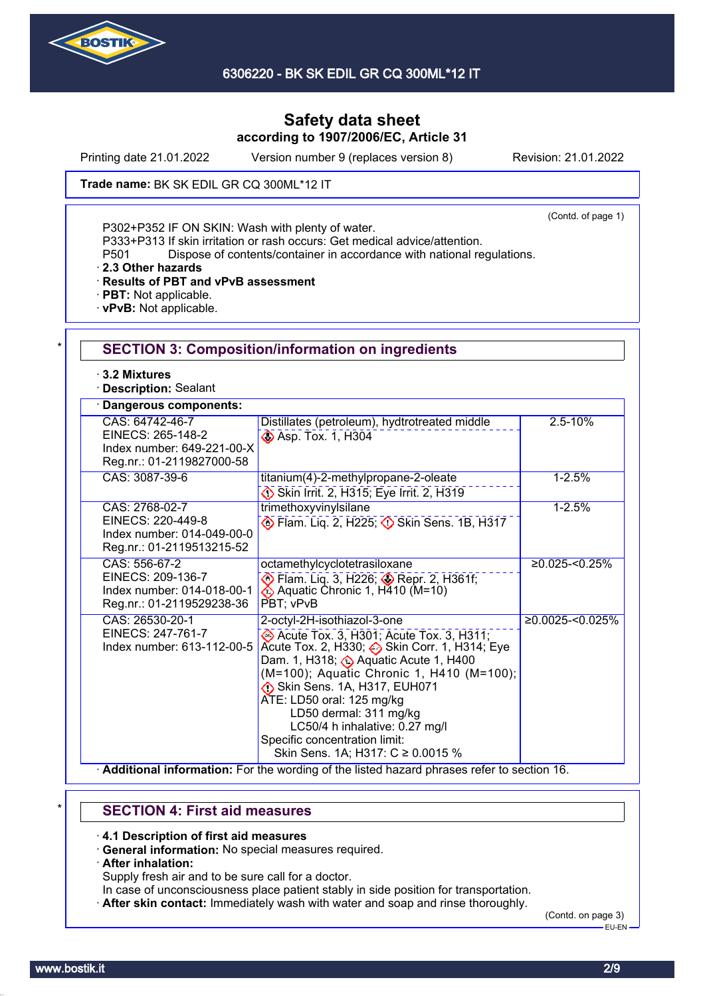

Printing date 21.01.2022 Version number 9 (replaces version 8) Revision: 21.01.2022

Trade name: BK SK EDIL GR CQ 300ML\*12 IT

(Contd. of page 1)

P302+P352 IF ON SKIN: Wash with plenty of water.

P333+P313 If skin irritation or rash occurs: Get medical advice/attention.

P501 Dispose of contents/container in accordance with national regulations.

· **2.3 Other hazards**

· **Results of PBT and vPvB assessment**

- · **PBT:** Not applicable.
- · **vPvB:** Not applicable.

| ⋅ 3.2 Mixtures<br><b>Description: Sealant</b>                                                   |                                                                                                                                                                                                                                                                                                                                                                                                         |                     |
|-------------------------------------------------------------------------------------------------|---------------------------------------------------------------------------------------------------------------------------------------------------------------------------------------------------------------------------------------------------------------------------------------------------------------------------------------------------------------------------------------------------------|---------------------|
| Dangerous components:                                                                           |                                                                                                                                                                                                                                                                                                                                                                                                         |                     |
| CAS: 64742-46-7<br>EINECS: 265-148-2<br>Index number: 649-221-00-X<br>Reg.nr.: 01-2119827000-58 | Distillates (petroleum), hydtrotreated middle<br>Asp. Tox. 1, H304                                                                                                                                                                                                                                                                                                                                      | $2.5 - 10%$         |
| CAS: 3087-39-6                                                                                  | titanium(4)-2-methylpropane-2-oleate<br>Skin Irrit. 2, H315; Eye Irrit. 2, H319                                                                                                                                                                                                                                                                                                                         | $1 - 2.5%$          |
| CAS: 2768-02-7<br>EINECS: 220-449-8<br>Index number: 014-049-00-0<br>Reg.nr.: 01-2119513215-52  | trimethoxyvinylsilane<br>Elam. Liq. 2, H225; 3 Skin Sens. 1B, H317                                                                                                                                                                                                                                                                                                                                      | $1 - 2.5%$          |
| CAS: 556-67-2<br>EINECS: 209-136-7<br>Index number: 014-018-00-1<br>Reg.nr.: 01-2119529238-36   | octamethylcyclotetrasiloxane<br>Flam. Liq. 3, H226; Sepr. 2, H361f;<br>PBT; vPvB                                                                                                                                                                                                                                                                                                                        | $≥0.025 - 50.25%$   |
| CAS: 26530-20-1<br>EINECS: 247-761-7<br>Index number: 613-112-00-5                              | 2-octyl-2H-isothiazol-3-one<br>Acute Tox. 3, H301; Acute Tox. 3, H311;<br>Acute Tox. 2, H330; Skin Corr. 1, H314; Eye<br>Dam. 1, H318; Aquatic Acute 1, H400<br>(M=100); Aquatic Chronic 1, H410 (M=100);<br>Skin Sens. 1A, H317, EUH071<br>ATE: LD50 oral: 125 mg/kg<br>LD50 dermal: 311 mg/kg<br>LC50/4 h inhalative: 0.27 mg/l<br>Specific concentration limit:<br>Skin Sens. 1A; H317: C ≥ 0.0015 % | $≥0.0025 - 50.025%$ |

# \* **SECTION 4: First aid measures**

· **4.1 Description of first aid measures**

- · **General information:** No special measures required.
- · **After inhalation:**

Supply fresh air and to be sure call for a doctor.

- In case of unconsciousness place patient stably in side position for transportation.
- · **After skin contact:** Immediately wash with water and soap and rinse thoroughly.

(Contd. on page 3) EU-EN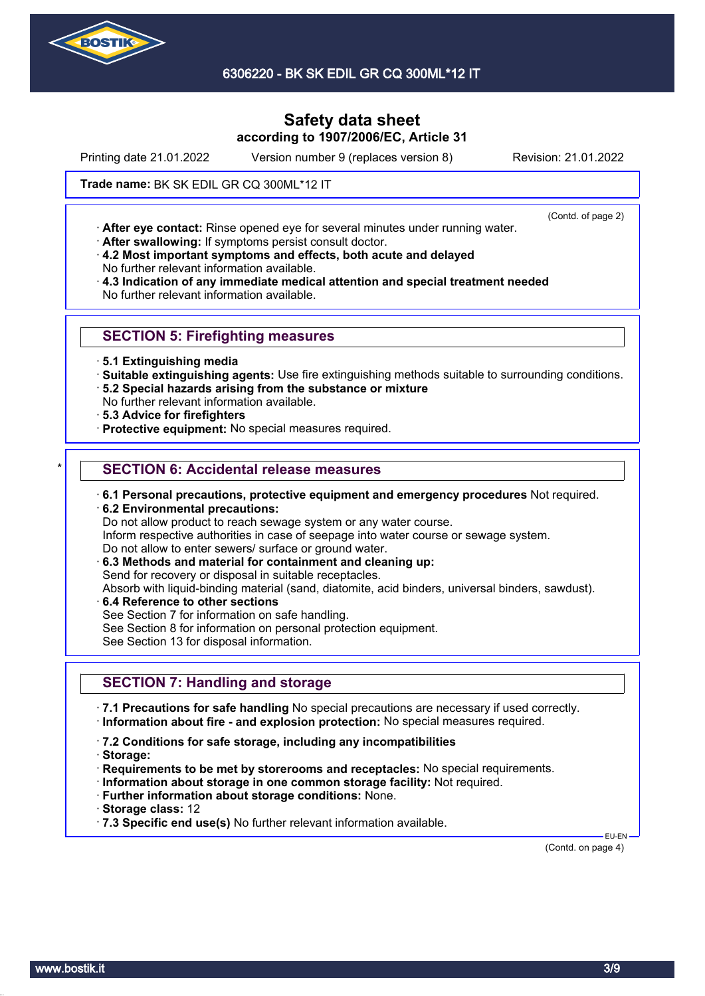

6306220 - BK SK EDIL GR CQ 300ML\*12 IT

# **Safety data sheet according to 1907/2006/EC, Article 31**

Printing date 21.01.2022 Version number 9 (replaces version 8) Revision: 21.01.2022

#### Trade name: BK SK EDIL GR CQ 300ML\*12 IT

(Contd. of page 2)

· **After eye contact:** Rinse opened eye for several minutes under running water.

- · **After swallowing:** If symptoms persist consult doctor.
- · **4.2 Most important symptoms and effects, both acute and delayed** No further relevant information available.
- · **4.3 Indication of any immediate medical attention and special treatment needed** No further relevant information available.

### **SECTION 5: Firefighting measures**

- · **5.1 Extinguishing media**
- · **Suitable extinguishing agents:** Use fire extinguishing methods suitable to surrounding conditions.
- · **5.2 Special hazards arising from the substance or mixture**
- No further relevant information available.
- · **5.3 Advice for firefighters**
- · **Protective equipment:** No special measures required.

### **SECTION 6: Accidental release measures**

- · **6.1 Personal precautions, protective equipment and emergency procedures** Not required.
- · **6.2 Environmental precautions:**
- Do not allow product to reach sewage system or any water course.
- Inform respective authorities in case of seepage into water course or sewage system.
- Do not allow to enter sewers/ surface or ground water.
- · **6.3 Methods and material for containment and cleaning up:**
- Send for recovery or disposal in suitable receptacles.

Absorb with liquid-binding material (sand, diatomite, acid binders, universal binders, sawdust).

- · **6.4 Reference to other sections**
- See Section 7 for information on safe handling.
- See Section 8 for information on personal protection equipment.

See Section 13 for disposal information.

## **SECTION 7: Handling and storage**

· **7.1 Precautions for safe handling** No special precautions are necessary if used correctly. · **Information about fire - and explosion protection:** No special measures required.

- · **7.2 Conditions for safe storage, including any incompatibilities**
- · **Storage:**
- · **Requirements to be met by storerooms and receptacles:** No special requirements.
- · **Information about storage in one common storage facility:** Not required.
- · **Further information about storage conditions:** None.
- · **Storage class:** 12
- · **7.3 Specific end use(s)** No further relevant information available.

(Contd. on page 4)

EU-EN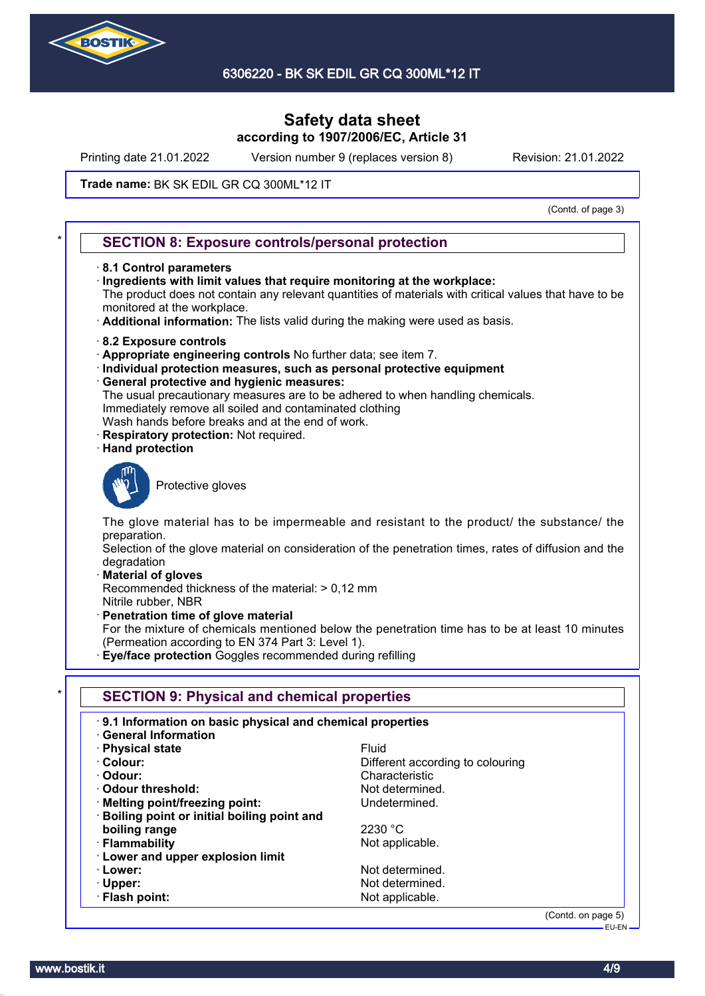

Printing date 21.01.2022 Version number 9 (replaces version 8) Revision: 21.01.2022

#### Trade name: BK SK EDIL GR CQ 300ML\*12 IT

(Contd. of page 3)

#### **SECTION 8: Exposure controls/personal protection**

- · **8.1 Control parameters**
- · **Ingredients with limit values that require monitoring at the workplace:**

The product does not contain any relevant quantities of materials with critical values that have to be monitored at the workplace.

- · **Additional information:** The lists valid during the making were used as basis.
- · **8.2 Exposure controls**
- · **Appropriate engineering controls** No further data; see item 7.
- · **Individual protection measures, such as personal protective equipment**
- · **General protective and hygienic measures:**
- The usual precautionary measures are to be adhered to when handling chemicals. Immediately remove all soiled and contaminated clothing
- Wash hands before breaks and at the end of work.
- **Respiratory protection: Not required.**
- · **Hand protection**



Protective gloves

The glove material has to be impermeable and resistant to the product/ the substance/ the preparation.

Selection of the glove material on consideration of the penetration times, rates of diffusion and the degradation

· **Material of gloves**

Recommended thickness of the material: > 0,12 mm Nitrile rubber, NBR

· **Penetration time of glove material**

For the mixture of chemicals mentioned below the penetration time has to be at least 10 minutes (Permeation according to EN 374 Part 3: Level 1).

· **Eye/face protection** Goggles recommended during refilling

| 9.1 Information on basic physical and chemical properties<br><b>General Information</b> |                                  |
|-----------------------------------------------------------------------------------------|----------------------------------|
| · Physical state                                                                        | <b>Fluid</b>                     |
| · Colour:                                                                               | Different according to colouring |
| · Odour:                                                                                | Characteristic                   |
| Odour threshold:                                                                        | Not determined.                  |
| · Melting point/freezing point:                                                         | Undetermined.                    |
| · Boiling point or initial boiling point and                                            |                                  |
| boiling range                                                                           | 2230 °C                          |
| · Flammability                                                                          | Not applicable.                  |
| · Lower and upper explosion limit                                                       |                                  |
| · Lower:                                                                                | Not determined.                  |
| $\cdot$ Upper:                                                                          | Not determined.                  |
| · Flash point:                                                                          | Not applicable.                  |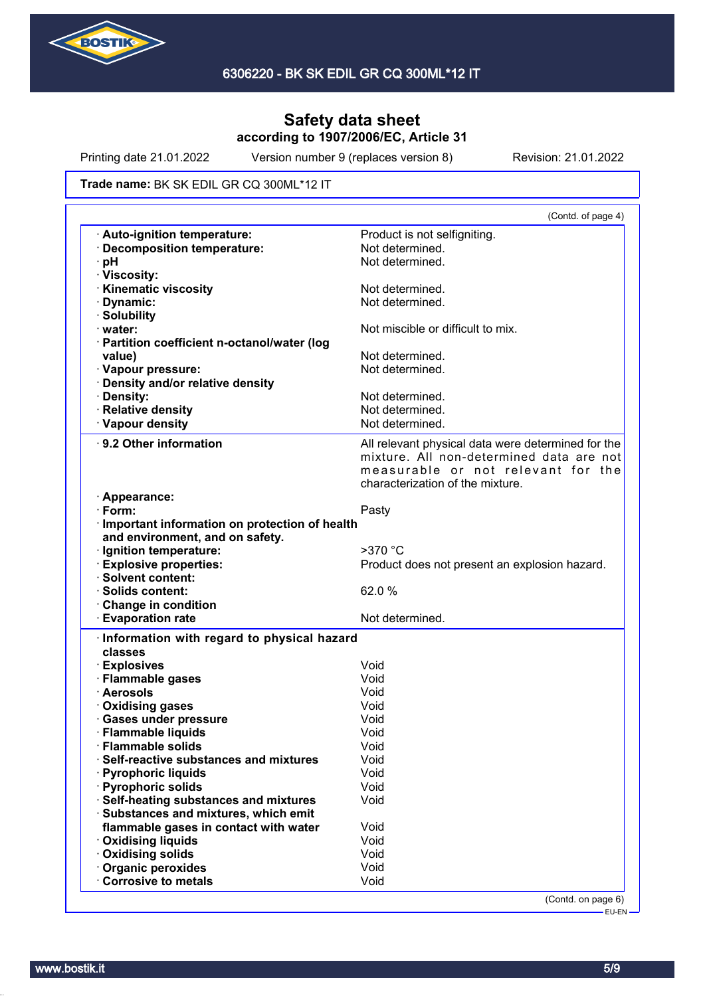

Printing date 21.01.2022 Version number 9 (replaces version 8) Revision: 21.01.2022

#### Trade name: BK SK EDIL GR CQ 300ML\*12 IT

|                                                 | (Contd. of page 4)                                 |
|-------------------------------------------------|----------------------------------------------------|
| Auto-ignition temperature:                      | Product is not selfigniting.                       |
| · Decomposition temperature:                    | Not determined.                                    |
| pH                                              | Not determined.                                    |
| · Viscosity:                                    |                                                    |
| <b>Kinematic viscosity</b>                      | Not determined.                                    |
| Dynamic:                                        | Not determined.                                    |
| · Solubility                                    |                                                    |
| · water:                                        | Not miscible or difficult to mix.                  |
| · Partition coefficient n-octanol/water (log    |                                                    |
| value)                                          | Not determined.                                    |
| · Vapour pressure:                              | Not determined.                                    |
| · Density and/or relative density               |                                                    |
| · Density:                                      | Not determined.                                    |
| · Relative density                              | Not determined.                                    |
| · Vapour density                                | Not determined.                                    |
|                                                 |                                                    |
| 9.2 Other information                           | All relevant physical data were determined for the |
|                                                 | mixture. All non-determined data are not           |
|                                                 | measurable or not relevant for the                 |
|                                                 | characterization of the mixture.                   |
| · Appearance:                                   |                                                    |
| $\cdot$ Form:                                   | Pasty                                              |
| · Important information on protection of health |                                                    |
| and environment, and on safety.                 |                                                    |
| · Ignition temperature:                         | $>370$ °C                                          |
| · Explosive properties:                         | Product does not present an explosion hazard.      |
| <b>Solvent content:</b>                         |                                                    |
| · Solids content:                               | 62.0%                                              |
| <b>Change in condition</b>                      |                                                    |
| <b>Evaporation rate</b>                         | Not determined.                                    |
| Information with regard to physical hazard      |                                                    |
| classes                                         |                                                    |
|                                                 |                                                    |
| · Explosives                                    | Void                                               |
| · Flammable gases                               | Void                                               |
| · Aerosols                                      | Void                                               |
| · Oxidising gases                               | Void                                               |
| · Gases under pressure                          | Void                                               |
| · Flammable liquids                             | Void                                               |
| <b>Flammable solids</b>                         | Void                                               |
| Self-reactive substances and mixtures           | Void                                               |
| · Pyrophoric liquids                            | Void                                               |
| · Pyrophoric solids                             | Void                                               |
| · Self-heating substances and mixtures          | Void                                               |
| · Substances and mixtures, which emit           |                                                    |
| flammable gases in contact with water           | Void                                               |
| · Oxidising liquids                             | Void                                               |
| <b>Oxidising solids</b>                         | Void                                               |
| Organic peroxides                               | Void                                               |
| <b>Corrosive to metals</b>                      | Void                                               |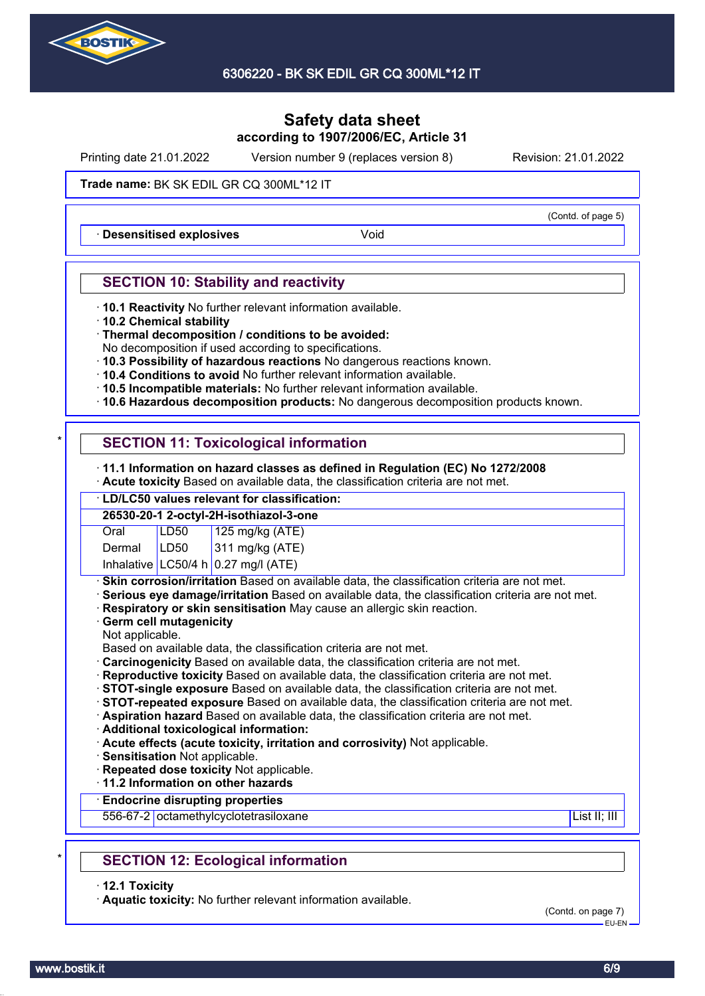

Printing date 21.01.2022 Version number 9 (replaces version 8) Revision: 21.01.2022

(Contd. of page 5)

#### Trade name: BK SK EDIL GR CQ 300ML\*12 IT

**Desensitised explosives Void** 

### **SECTION 10: Stability and reactivity**

- · **10.1 Reactivity** No further relevant information available.
- · **10.2 Chemical stability**
- · **Thermal decomposition / conditions to be avoided:**
- No decomposition if used according to specifications.
- · **10.3 Possibility of hazardous reactions** No dangerous reactions known.
- · **10.4 Conditions to avoid** No further relevant information available.
- · **10.5 Incompatible materials:** No further relevant information available.
- · **10.6 Hazardous decomposition products:** No dangerous decomposition products known.

## **SECTION 11: Toxicological information**

- · **11.1 Information on hazard classes as defined in Regulation (EC) No 1272/2008**
- · **Acute toxicity** Based on available data, the classification criteria are not met.

### · **LD/LC50 values relevant for classification:**

| 26530-20-1 2-octyl-2H-isothiazol-3-one |      |                                       |  |
|----------------------------------------|------|---------------------------------------|--|
| Oral                                   | LD50 |                                       |  |
| Dermal                                 | LD50 | 125 mg/kg (ATE)<br>311 mg/kg (ATE)    |  |
|                                        |      | Inhalative $LC50/4 h 0.27$ mg/l (ATE) |  |

**Skin corrosion/irritation** Based on available data, the classification criteria are not met.

- · **Serious eye damage/irritation** Based on available data, the classification criteria are not met.
- · **Respiratory or skin sensitisation** May cause an allergic skin reaction.
- · **Germ cell mutagenicity**
- Not applicable.
- Based on available data, the classification criteria are not met.
- · **Carcinogenicity** Based on available data, the classification criteria are not met.
- · **Reproductive toxicity** Based on available data, the classification criteria are not met.
- · **STOT-single exposure** Based on available data, the classification criteria are not met.
- · **STOT-repeated exposure** Based on available data, the classification criteria are not met.
- · **Aspiration hazard** Based on available data, the classification criteria are not met.
- · **Additional toxicological information:**
- · **Acute effects (acute toxicity, irritation and corrosivity)** Not applicable.
- · **Sensitisation** Not applicable.
- · **Repeated dose toxicity** Not applicable.

· **11.2 Information on other hazards**

#### · **Endocrine disrupting properties**

556-67-2 octamethylcyclotetrasiloxane List II; III in the List II; III in the List II; III in the List II; III

## **SECTION 12: Ecological information**

· **12.1 Toxicity**

· **Aquatic toxicity:** No further relevant information available.

(Contd. on page 7) EU-EN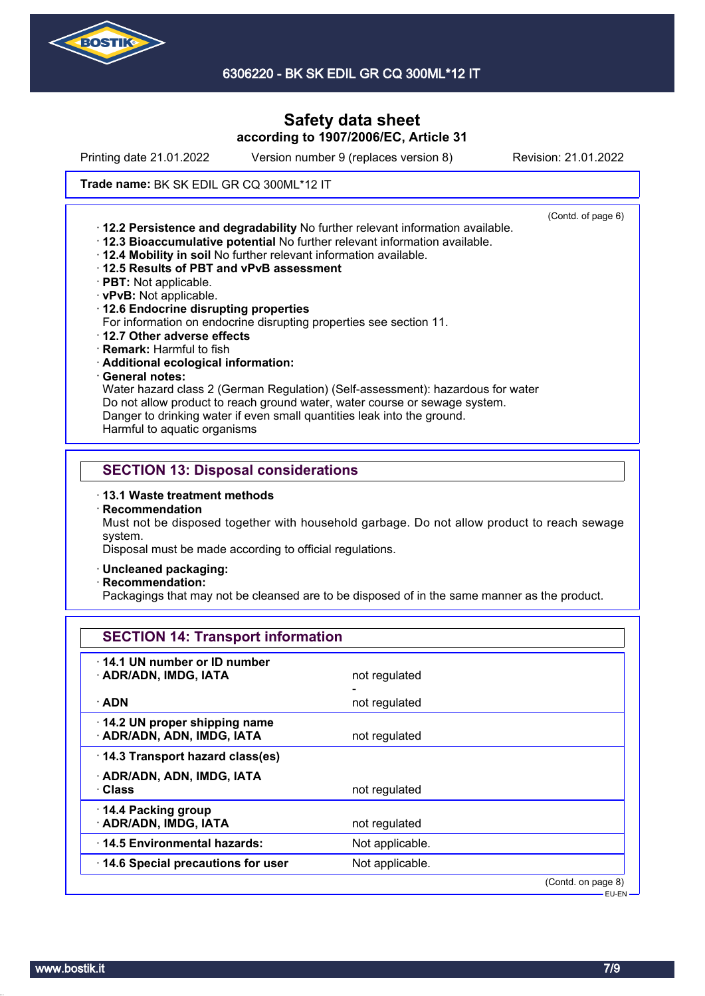

6306220 - BK SK EDIL GR CQ 300ML\*12 IT

# **Safety data sheet according to 1907/2006/EC, Article 31**

Printing date 21.01.2022 Version number 9 (replaces version 8) Revision: 21.01.2022

(Contd. of page 6)

#### Trade name: BK SK EDIL GR CQ 300ML\*12 IT

· **12.2 Persistence and degradability** No further relevant information available.

- · **12.3 Bioaccumulative potential** No further relevant information available.
- · **12.4 Mobility in soil** No further relevant information available.
- · **12.5 Results of PBT and vPvB assessment**
- · **PBT:** Not applicable.
- · **vPvB:** Not applicable.
- · **12.6 Endocrine disrupting properties**
- For information on endocrine disrupting properties see section 11.
- · **12.7 Other adverse effects**
- · **Remark:** Harmful to fish
- · **Additional ecological information:**
- · **General notes:**

Water hazard class 2 (German Regulation) (Self-assessment): hazardous for water Do not allow product to reach ground water, water course or sewage system. Danger to drinking water if even small quantities leak into the ground.

Harmful to aquatic organisms

### **SECTION 13: Disposal considerations**

- · **13.1 Waste treatment methods**
- · **Recommendation**

Must not be disposed together with household garbage. Do not allow product to reach sewage system.

Disposal must be made according to official regulations.

- · **Uncleaned packaging:**
- · **Recommendation:**

Packagings that may not be cleansed are to be disposed of in the same manner as the product.

| <b>SECTION 14: Transport information</b>                   |                 |                    |
|------------------------------------------------------------|-----------------|--------------------|
| 14.1 UN number or ID number<br>· ADR/ADN, IMDG, IATA       | not regulated   |                    |
| · ADN                                                      | not regulated   |                    |
| 14.2 UN proper shipping name<br>· ADR/ADN, ADN, IMDG, IATA | not regulated   |                    |
| 14.3 Transport hazard class(es)                            |                 |                    |
| · ADR/ADN, ADN, IMDG, IATA<br>· Class                      | not regulated   |                    |
| 14.4 Packing group<br>· ADR/ADN, IMDG, IATA                | not regulated   |                    |
| 14.5 Environmental hazards:                                | Not applicable. |                    |
| 14.6 Special precautions for user                          | Not applicable. |                    |
|                                                            |                 | (Contd. on page 8) |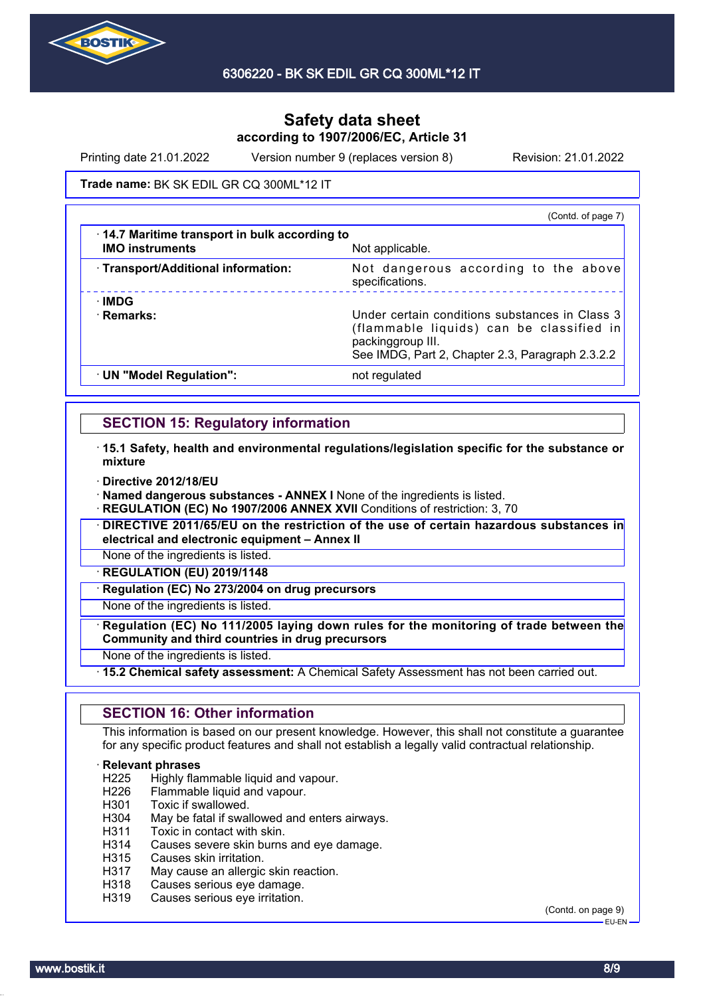

Printing date 21.01.2022 Version number 9 (replaces version 8) Revision: 21.01.2022

#### Trade name: BK SK EDIL GR CQ 300ML\*12 IT

|                                                                        | (Contd. of page 7)                                                                                                                                                  |
|------------------------------------------------------------------------|---------------------------------------------------------------------------------------------------------------------------------------------------------------------|
| 14.7 Maritime transport in bulk according to<br><b>IMO instruments</b> | Not applicable.                                                                                                                                                     |
| · Transport/Additional information:                                    | Not dangerous according to the above<br>specifications.                                                                                                             |
| <b>IMDG</b><br>· Remarks:                                              | Under certain conditions substances in Class 3<br>(flammable liquids) can be classified in<br>packinggroup III.<br>See IMDG, Part 2, Chapter 2.3, Paragraph 2.3.2.2 |
| · UN "Model Regulation":                                               | not regulated                                                                                                                                                       |

### **SECTION 15: Regulatory information**

- · **15.1 Safety, health and environmental regulations/legislation specific for the substance or mixture**
- · **Directive 2012/18/EU**
- · **Named dangerous substances ANNEX I** None of the ingredients is listed.
- **REGULATION (EC) No 1907/2006 ANNEX XVII** Conditions of restriction: 3, 70
- · **DIRECTIVE 2011/65/EU on the restriction of the use of certain hazardous substances in electrical and electronic equipment – Annex II**
- None of the ingredients is listed.
- · **REGULATION (EU) 2019/1148**
- **Regulation (EC) No 273/2004 on drug precursors**

None of the ingredients is listed.

- · **Regulation (EC) No 111/2005 laying down rules for the monitoring of trade between the Community and third countries in drug precursors**
- None of the ingredients is listed.
- · **15.2 Chemical safety assessment:** A Chemical Safety Assessment has not been carried out.

#### **SECTION 16: Other information**

This information is based on our present knowledge. However, this shall not constitute a guarantee for any specific product features and shall not establish a legally valid contractual relationship.

# **Relevant phrases**<br>H225 Highly flar

- Highly flammable liquid and vapour.
- H226 Flammable liquid and vapour.
- H301 Toxic if swallowed.
- H304 May be fatal if swallowed and enters airways.
- H311 Toxic in contact with skin.
- H314 Causes severe skin burns and eye damage.
- H315 Causes skin irritation.
- H317 May cause an allergic skin reaction.
- H318 Causes serious eye damage.
- H319 Causes serious eye irritation.

(Contd. on page 9) EU-EN